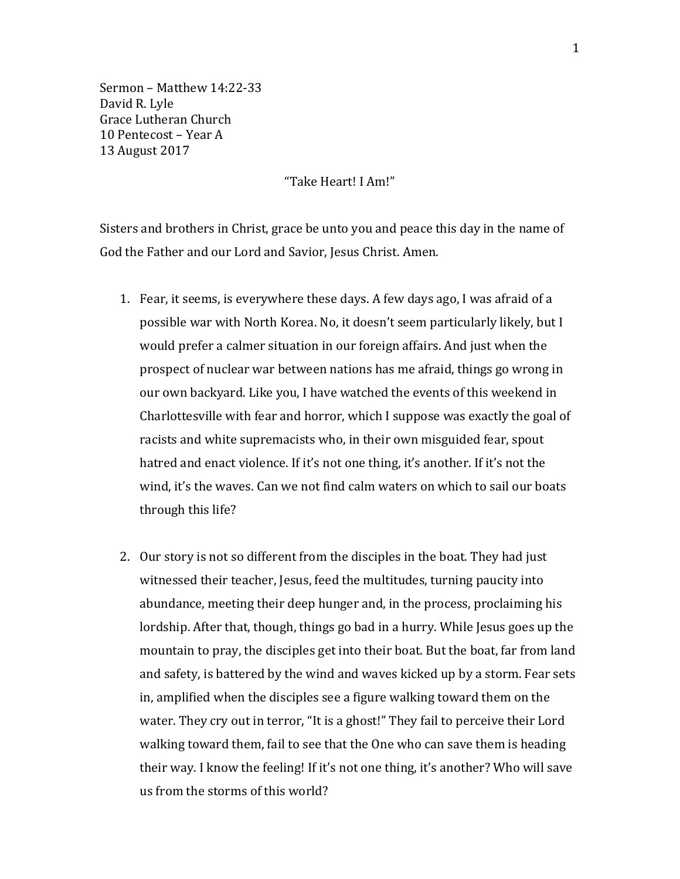Sermon – Matthew 14:22-33 David R. Lyle Grace Lutheran Church 10 Pentecost – Year A 13 August 2017

"Take Heart! I Am!"

Sisters and brothers in Christ, grace be unto you and peace this day in the name of God the Father and our Lord and Savior, Jesus Christ. Amen.

- 1. Fear, it seems, is everywhere these days. A few days ago, I was afraid of a possible war with North Korea. No, it doesn't seem particularly likely, but I would prefer a calmer situation in our foreign affairs. And just when the prospect of nuclear war between nations has me afraid, things go wrong in our own backyard. Like you, I have watched the events of this weekend in Charlottesville with fear and horror, which I suppose was exactly the goal of racists and white supremacists who, in their own misguided fear, spout hatred and enact violence. If it's not one thing, it's another. If it's not the wind, it's the waves. Can we not find calm waters on which to sail our boats through this life?
- 2. Our story is not so different from the disciples in the boat. They had just witnessed their teacher, Jesus, feed the multitudes, turning paucity into abundance, meeting their deep hunger and, in the process, proclaiming his lordship. After that, though, things go bad in a hurry. While Jesus goes up the mountain to pray, the disciples get into their boat. But the boat, far from land and safety, is battered by the wind and waves kicked up by a storm. Fear sets in, amplified when the disciples see a figure walking toward them on the water. They cry out in terror, "It is a ghost!" They fail to perceive their Lord walking toward them, fail to see that the One who can save them is heading their way. I know the feeling! If it's not one thing, it's another? Who will save us from the storms of this world?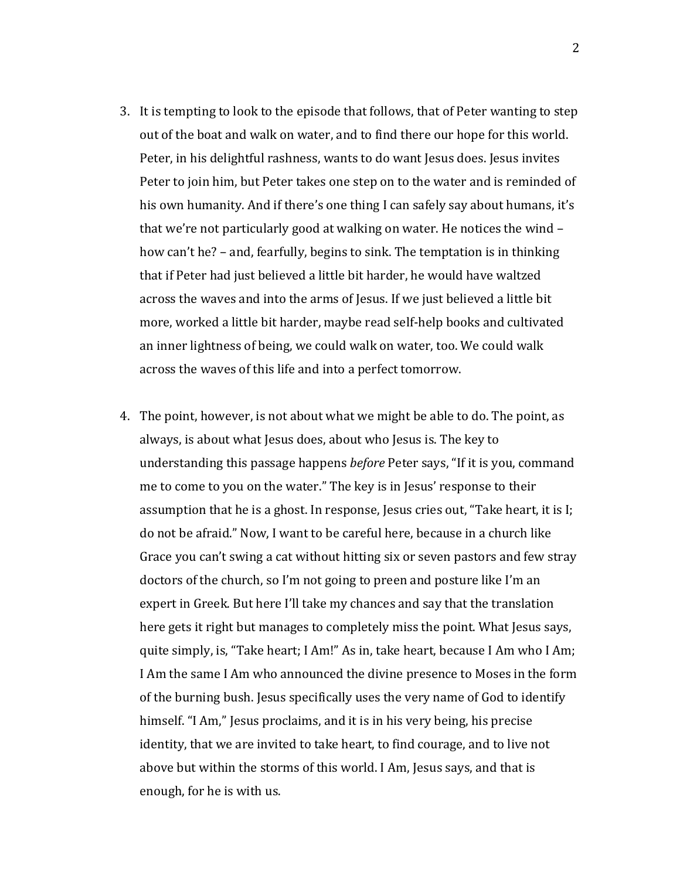- 3. It is tempting to look to the episode that follows, that of Peter wanting to step out of the boat and walk on water, and to find there our hope for this world. Peter, in his delightful rashness, wants to do want Jesus does. Jesus invites Peter to join him, but Peter takes one step on to the water and is reminded of his own humanity. And if there's one thing I can safely say about humans, it's that we're not particularly good at walking on water. He notices the wind – how can't he? – and, fearfully, begins to sink. The temptation is in thinking that if Peter had just believed a little bit harder, he would have waltzed across the waves and into the arms of Jesus. If we just believed a little bit more, worked a little bit harder, maybe read self-help books and cultivated an inner lightness of being, we could walk on water, too. We could walk across the waves of this life and into a perfect tomorrow.
- 4. The point, however, is not about what we might be able to do. The point, as always, is about what Jesus does, about who Jesus is. The key to understanding this passage happens *before* Peter says, "If it is you, command me to come to you on the water." The key is in Jesus' response to their assumption that he is a ghost. In response, Jesus cries out, "Take heart, it is I; do not be afraid." Now, I want to be careful here, because in a church like Grace you can't swing a cat without hitting six or seven pastors and few stray doctors of the church, so I'm not going to preen and posture like I'm an expert in Greek. But here I'll take my chances and say that the translation here gets it right but manages to completely miss the point. What Jesus says, quite simply, is, "Take heart; I Am!" As in, take heart, because I Am who I Am; I Am the same I Am who announced the divine presence to Moses in the form of the burning bush. Jesus specifically uses the very name of God to identify himself. "I Am," Jesus proclaims, and it is in his very being, his precise identity, that we are invited to take heart, to find courage, and to live not above but within the storms of this world. I Am, Jesus says, and that is enough, for he is with us.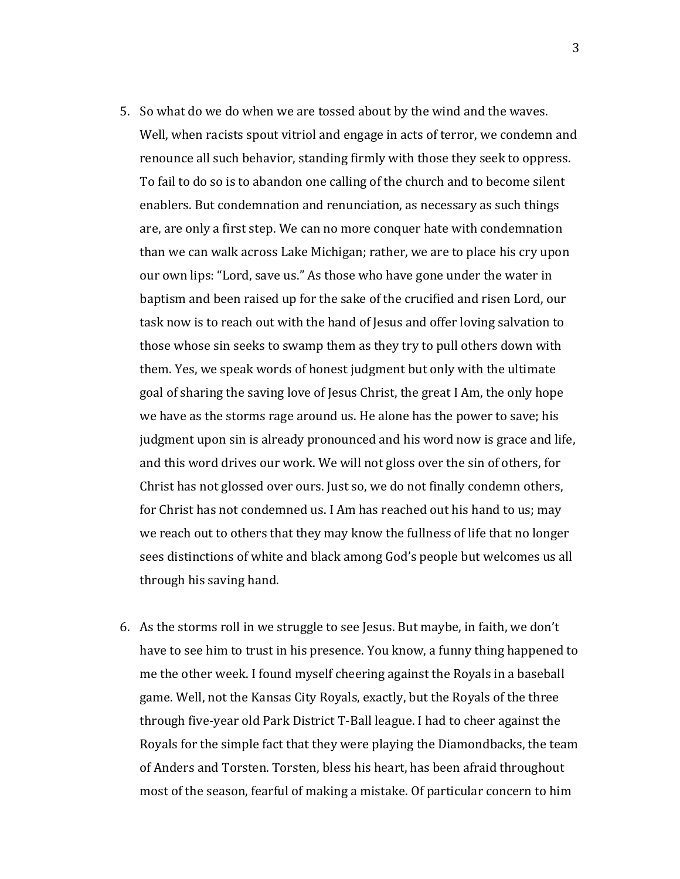- 5. So what do we do when we are tossed about by the wind and the waves. Well, when racists spout vitriol and engage in acts of terror, we condemn and renounce all such behavior, standing firmly with those they seek to oppress. To fail to do so is to abandon one calling of the church and to become silent enablers. But condemnation and renunciation, as necessary as such things are, are only a first step. We can no more conquer hate with condemnation than we can walk across Lake Michigan; rather, we are to place his cry upon our own lips: "Lord, save us." As those who have gone under the water in baptism and been raised up for the sake of the crucified and risen Lord, our task now is to reach out with the hand of Jesus and offer loving salvation to those whose sin seeks to swamp them as they try to pull others down with them. Yes, we speak words of honest judgment but only with the ultimate goal of sharing the saving love of Jesus Christ, the great I Am, the only hope we have as the storms rage around us. He alone has the power to save; his judgment upon sin is already pronounced and his word now is grace and life, and this word drives our work. We will not gloss over the sin of others, for Christ has not glossed over ours. Just so, we do not finally condemn others, for Christ has not condemned us. I Am has reached out his hand to us; may we reach out to others that they may know the fullness of life that no longer sees distinctions of white and black among God's people but welcomes us all through his saving hand.
- 6. As the storms roll in we struggle to see Jesus. But maybe, in faith, we don't have to see him to trust in his presence. You know, a funny thing happened to me the other week. I found myself cheering against the Royals in a baseball game. Well, not the Kansas City Royals, exactly, but the Royals of the three through five-year old Park District T-Ball league. I had to cheer against the Royals for the simple fact that they were playing the Diamondbacks, the team of Anders and Torsten. Torsten, bless his heart, has been afraid throughout most of the season, fearful of making a mistake. Of particular concern to him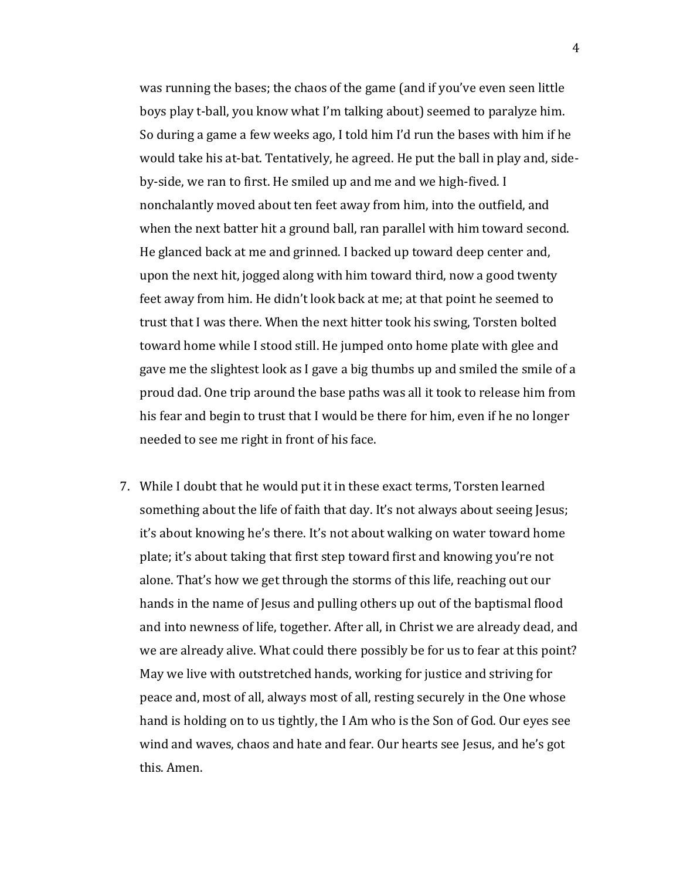was running the bases; the chaos of the game (and if you've even seen little boys play t-ball, you know what I'm talking about) seemed to paralyze him. So during a game a few weeks ago, I told him I'd run the bases with him if he would take his at-bat. Tentatively, he agreed. He put the ball in play and, sideby-side, we ran to first. He smiled up and me and we high-fived. I nonchalantly moved about ten feet away from him, into the outfield, and when the next batter hit a ground ball, ran parallel with him toward second. He glanced back at me and grinned. I backed up toward deep center and, upon the next hit, jogged along with him toward third, now a good twenty feet away from him. He didn't look back at me; at that point he seemed to trust that I was there. When the next hitter took his swing, Torsten bolted toward home while I stood still. He jumped onto home plate with glee and gave me the slightest look as I gave a big thumbs up and smiled the smile of a proud dad. One trip around the base paths was all it took to release him from his fear and begin to trust that I would be there for him, even if he no longer needed to see me right in front of his face.

7. While I doubt that he would put it in these exact terms, Torsten learned something about the life of faith that day. It's not always about seeing Jesus; it's about knowing he's there. It's not about walking on water toward home plate; it's about taking that first step toward first and knowing you're not alone. That's how we get through the storms of this life, reaching out our hands in the name of Jesus and pulling others up out of the baptismal flood and into newness of life, together. After all, in Christ we are already dead, and we are already alive. What could there possibly be for us to fear at this point? May we live with outstretched hands, working for justice and striving for peace and, most of all, always most of all, resting securely in the One whose hand is holding on to us tightly, the I Am who is the Son of God. Our eyes see wind and waves, chaos and hate and fear. Our hearts see Jesus, and he's got this. Amen.